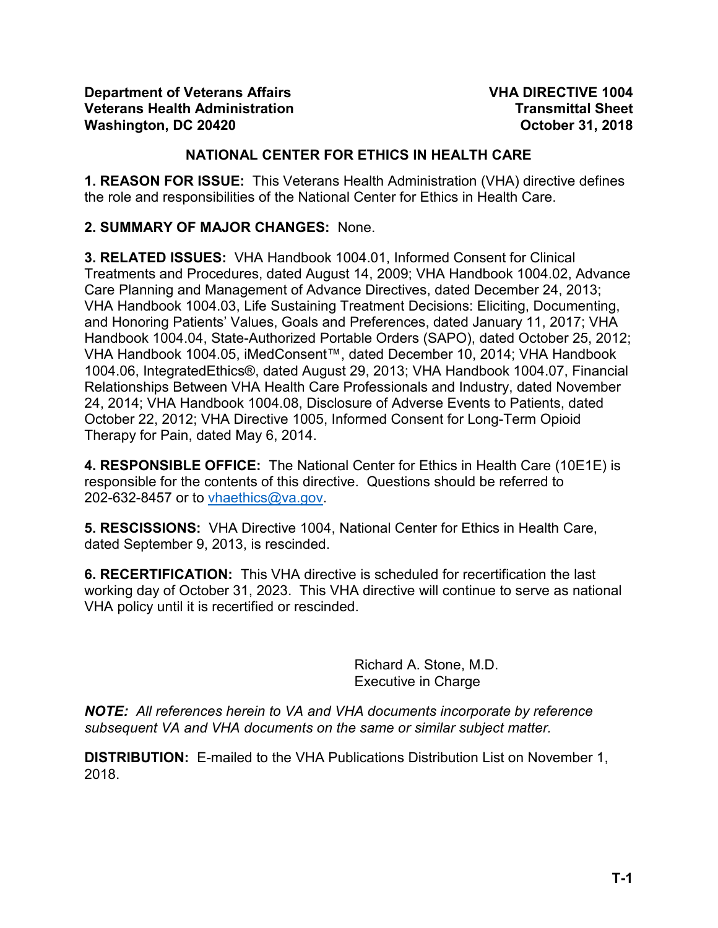#### **NATIONAL CENTER FOR ETHICS IN HEALTH CARE**

**1. REASON FOR ISSUE:** This Veterans Health Administration (VHA) directive defines the role and responsibilities of the National Center for Ethics in Health Care.

#### **2. SUMMARY OF MAJOR CHANGES:** None.

**3. RELATED ISSUES:** VHA Handbook 1004.01, Informed Consent for Clinical Treatments and Procedures, dated August 14, 2009; VHA Handbook 1004.02, Advance Care Planning and Management of Advance Directives, dated December 24, 2013; VHA Handbook 1004.03, Life Sustaining Treatment Decisions: Eliciting, Documenting, and Honoring Patients' Values, Goals and Preferences, dated January 11, 2017; VHA Handbook 1004.04, State-Authorized Portable Orders (SAPO), dated October 25, 2012; VHA Handbook 1004.05, iMedConsent™, dated December 10, 2014; VHA Handbook 1004.06, IntegratedEthics®, dated August 29, 2013; VHA Handbook 1004.07, Financial Relationships Between VHA Health Care Professionals and Industry, dated November 24, 2014; VHA Handbook 1004.08, Disclosure of Adverse Events to Patients, dated October 22, 2012; VHA Directive 1005, Informed Consent for Long-Term Opioid Therapy for Pain, dated May 6, 2014.

**4. RESPONSIBLE OFFICE:** The National Center for Ethics in Health Care (10E1E) is responsible for the contents of this directive. Questions should be referred to 202-632-8457 or to [vhaethics@va.gov.](mailto:vhaethics@va.gov)

**5. RESCISSIONS:** VHA Directive 1004, National Center for Ethics in Health Care, dated September 9, 2013, is rescinded.

**6. RECERTIFICATION:** This VHA directive is scheduled for recertification the last working day of October 31, 2023. This VHA directive will continue to serve as national VHA policy until it is recertified or rescinded.

> Richard A. Stone, M.D. Executive in Charge

*NOTE: All references herein to VA and VHA documents incorporate by reference subsequent VA and VHA documents on the same or similar subject matter.*

**DISTRIBUTION:** E-mailed to the VHA Publications Distribution List on November 1, 2018.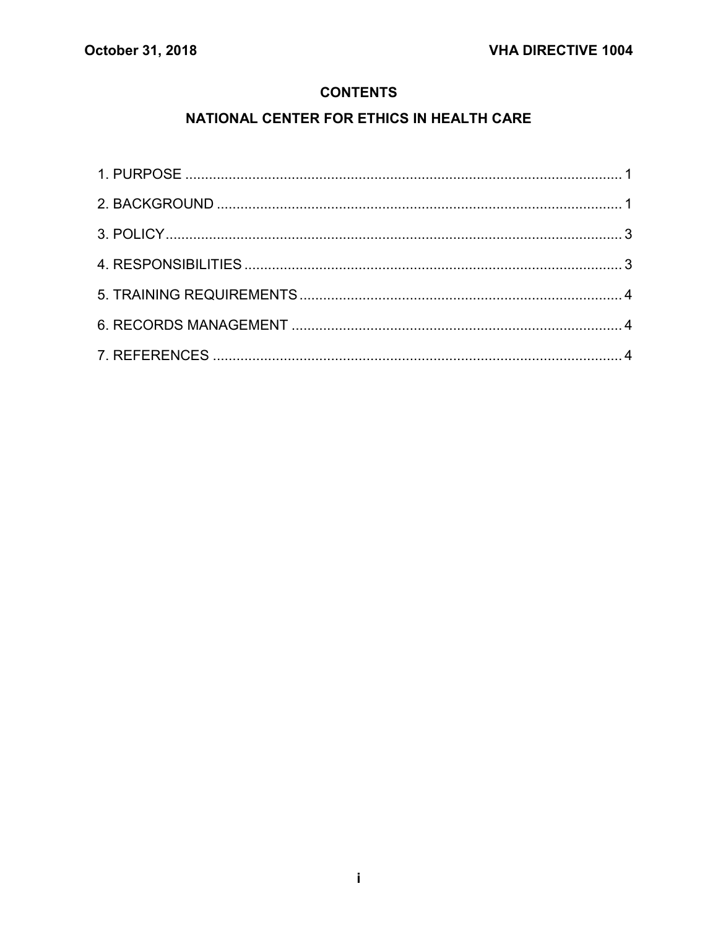#### **CONTENTS**

# NATIONAL CENTER FOR ETHICS IN HEALTH CARE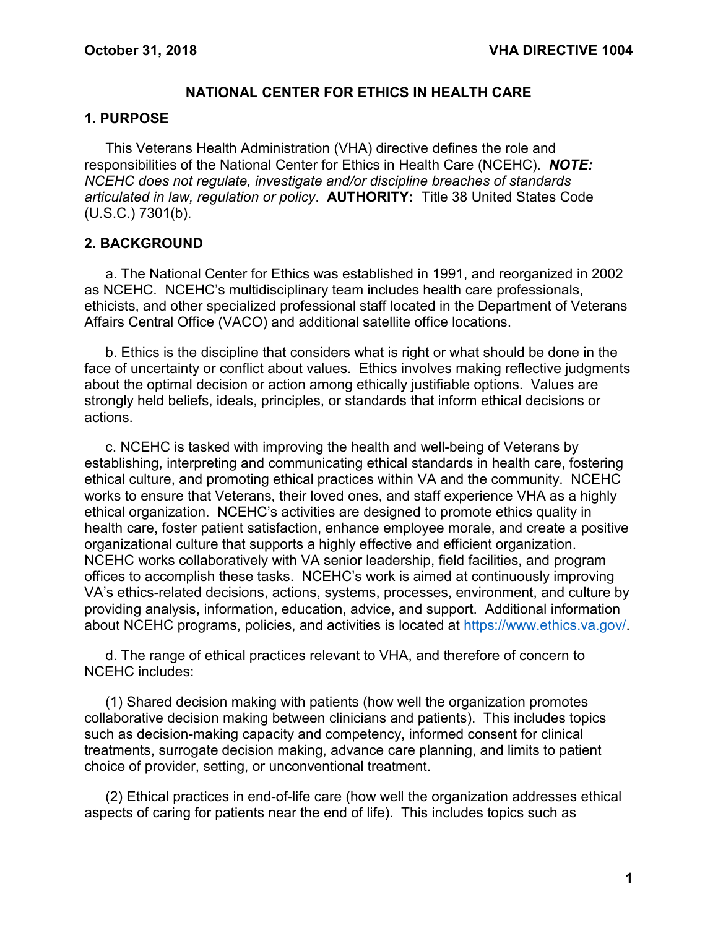#### **NATIONAL CENTER FOR ETHICS IN HEALTH CARE**

#### <span id="page-2-0"></span>**1. PURPOSE**

This Veterans Health Administration (VHA) directive defines the role and responsibilities of the National Center for Ethics in Health Care (NCEHC). *NOTE: NCEHC does not regulate, investigate and/or discipline breaches of standards articulated in law, regulation or policy*. **AUTHORITY:** Title 38 United States Code (U.S.C.) 7301(b).

#### <span id="page-2-1"></span>**2. BACKGROUND**

a. The National Center for Ethics was established in 1991, and reorganized in 2002 as NCEHC. NCEHC's multidisciplinary team includes health care professionals, ethicists, and other specialized professional staff located in the Department of Veterans Affairs Central Office (VACO) and additional satellite office locations.

b. Ethics is the discipline that considers what is right or what should be done in the face of uncertainty or conflict about values. Ethics involves making reflective judgments about the optimal decision or action among ethically justifiable options. Values are strongly held beliefs, ideals, principles, or standards that inform ethical decisions or actions.

c. NCEHC is tasked with improving the health and well-being of Veterans by establishing, interpreting and communicating ethical standards in health care, fostering ethical culture, and promoting ethical practices within VA and the community. NCEHC works to ensure that Veterans, their loved ones, and staff experience VHA as a highly ethical organization. NCEHC's activities are designed to promote ethics quality in health care, foster patient satisfaction, enhance employee morale, and create a positive organizational culture that supports a highly effective and efficient organization. NCEHC works collaboratively with VA senior leadership, field facilities, and program offices to accomplish these tasks. NCEHC's work is aimed at continuously improving VA's ethics-related decisions, actions, systems, processes, environment, and culture by providing analysis, information, education, advice, and support. Additional information about NCEHC programs, policies, and activities is located at [https://www.ethics.va.gov/.](https://www.ethics.va.gov/)

d. The range of ethical practices relevant to VHA, and therefore of concern to NCEHC includes:

(1) Shared decision making with patients (how well the organization promotes collaborative decision making between clinicians and patients). This includes topics such as decision-making capacity and competency, informed consent for clinical treatments, surrogate decision making, advance care planning, and limits to patient choice of provider, setting, or unconventional treatment.

(2) Ethical practices in end-of-life care (how well the organization addresses ethical aspects of caring for patients near the end of life). This includes topics such as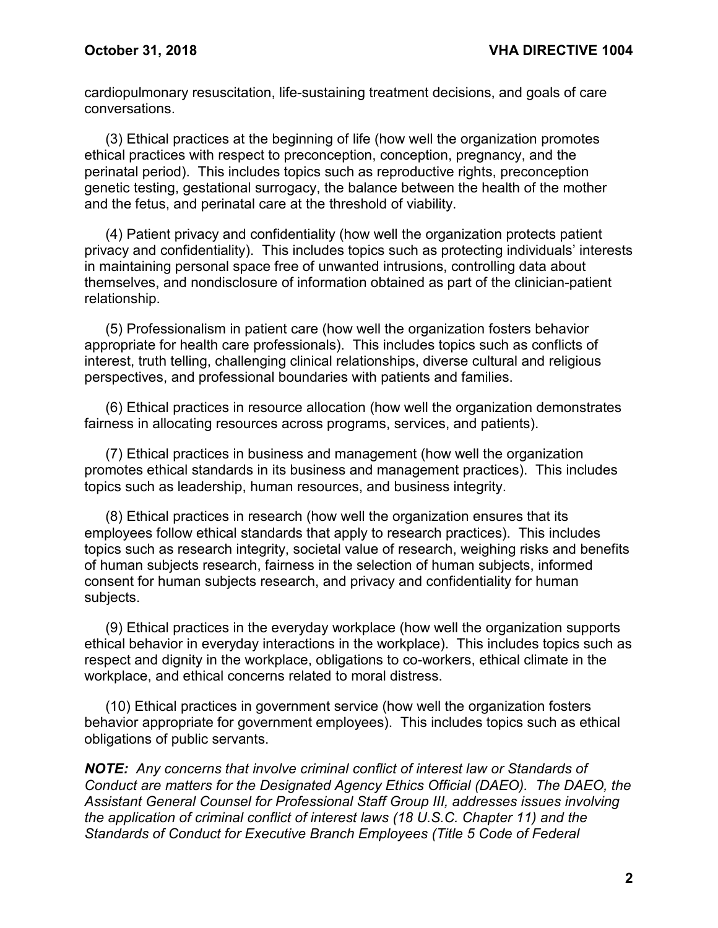cardiopulmonary resuscitation, life-sustaining treatment decisions, and goals of care conversations.

(3) Ethical practices at the beginning of life (how well the organization promotes ethical practices with respect to preconception, conception, pregnancy, and the perinatal period). This includes topics such as reproductive rights, preconception genetic testing, gestational surrogacy, the balance between the health of the mother and the fetus, and perinatal care at the threshold of viability.

(4) Patient privacy and confidentiality (how well the organization protects patient privacy and confidentiality). This includes topics such as protecting individuals' interests in maintaining personal space free of unwanted intrusions, controlling data about themselves, and nondisclosure of information obtained as part of the clinician-patient relationship.

(5) Professionalism in patient care (how well the organization fosters behavior appropriate for health care professionals). This includes topics such as conflicts of interest, truth telling, challenging clinical relationships, diverse cultural and religious perspectives, and professional boundaries with patients and families.

(6) Ethical practices in resource allocation (how well the organization demonstrates fairness in allocating resources across programs, services, and patients).

(7) Ethical practices in business and management (how well the organization promotes ethical standards in its business and management practices). This includes topics such as leadership, human resources, and business integrity.

(8) Ethical practices in research (how well the organization ensures that its employees follow ethical standards that apply to research practices). This includes topics such as research integrity, societal value of research, weighing risks and benefits of human subjects research, fairness in the selection of human subjects, informed consent for human subjects research, and privacy and confidentiality for human subjects.

(9) Ethical practices in the everyday workplace (how well the organization supports ethical behavior in everyday interactions in the workplace). This includes topics such as respect and dignity in the workplace, obligations to co-workers, ethical climate in the workplace, and ethical concerns related to moral distress.

(10) Ethical practices in government service (how well the organization fosters behavior appropriate for government employees). This includes topics such as ethical obligations of public servants.

*NOTE: Any concerns that involve criminal conflict of interest law or Standards of Conduct are matters for the Designated Agency Ethics Official (DAEO). The DAEO, the Assistant General Counsel for Professional Staff Group III, addresses issues involving the application of criminal conflict of interest laws (18 U.S.C. Chapter 11) and the Standards of Conduct for Executive Branch Employees (Title 5 Code of Federal*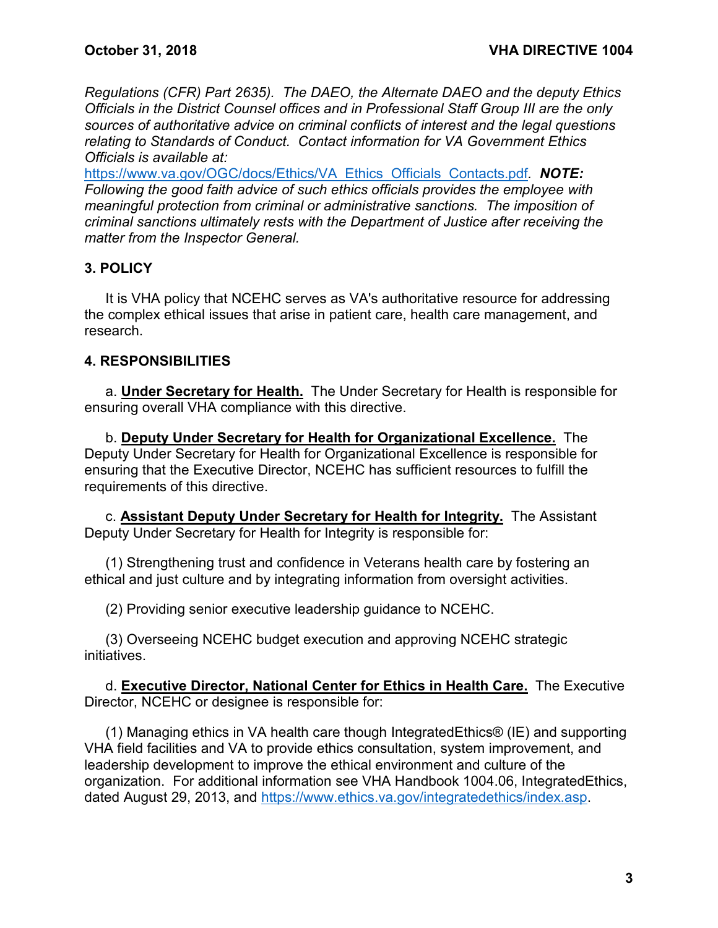*Regulations (CFR) Part 2635). The DAEO, the Alternate DAEO and the deputy Ethics Officials in the District Counsel offices and in Professional Staff Group III are the only sources of authoritative advice on criminal conflicts of interest and the legal questions relating to Standards of Conduct. Contact information for VA Government Ethics Officials is available at:* 

[https://www.va.gov/OGC/docs/Ethics/VA\\_Ethics\\_Officials\\_Contacts.pdf](https://www.va.gov/OGC/docs/Ethics/VA_Ethics_Officials_Contacts.pdf)*. NOTE: Following the good faith advice of such ethics officials provides the employee with meaningful protection from criminal or administrative sanctions. The imposition of criminal sanctions ultimately rests with the Department of Justice after receiving the matter from the Inspector General.*

## <span id="page-4-0"></span>**3. POLICY**

It is VHA policy that NCEHC serves as VA's authoritative resource for addressing the complex ethical issues that arise in patient care, health care management, and research.

## <span id="page-4-1"></span>**4. RESPONSIBILITIES**

a. **Under Secretary for Health.** The Under Secretary for Health is responsible for ensuring overall VHA compliance with this directive.

b. **Deputy Under Secretary for Health for Organizational Excellence.** The Deputy Under Secretary for Health for Organizational Excellence is responsible for ensuring that the Executive Director, NCEHC has sufficient resources to fulfill the requirements of this directive.

c. **Assistant Deputy Under Secretary for Health for Integrity.** The Assistant Deputy Under Secretary for Health for Integrity is responsible for:

(1) Strengthening trust and confidence in Veterans health care by fostering an ethical and just culture and by integrating information from oversight activities.

(2) Providing senior executive leadership guidance to NCEHC.

(3) Overseeing NCEHC budget execution and approving NCEHC strategic initiatives.

d. **Executive Director, National Center for Ethics in Health Care.** The Executive Director, NCEHC or designee is responsible for:

(1) Managing ethics in VA health care though IntegratedEthics® (IE) and supporting VHA field facilities and VA to provide ethics consultation, system improvement, and leadership development to improve the ethical environment and culture of the organization. For additional information see VHA Handbook 1004.06, IntegratedEthics, dated August 29, 2013, and [https://www.ethics.va.gov/integratedethics/index.asp.](https://www.ethics.va.gov/integratedethics/index.asp)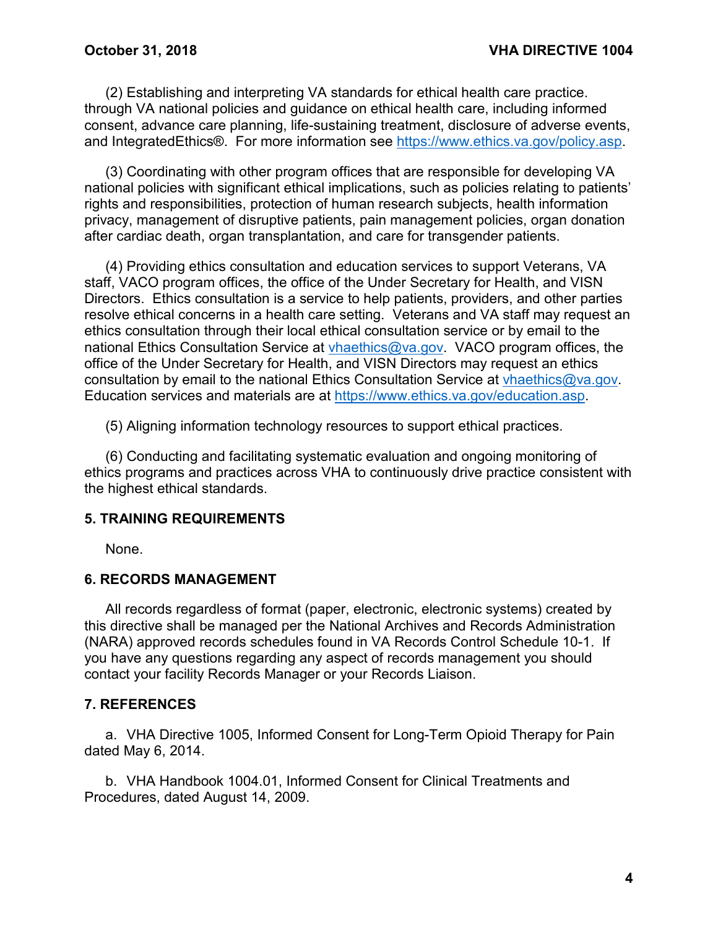(2) Establishing and interpreting VA standards for ethical health care practice. through VA national policies and guidance on ethical health care, including informed consent, advance care planning, life-sustaining treatment, disclosure of adverse events, and IntegratedEthics®. For more information see [https://www.ethics.va.gov/policy.asp.](https://www.ethics.va.gov/policy.asp)

(3) Coordinating with other program offices that are responsible for developing VA national policies with significant ethical implications, such as policies relating to patients' rights and responsibilities, protection of human research subjects, health information privacy, management of disruptive patients, pain management policies, organ donation after cardiac death, organ transplantation, and care for transgender patients.

(4) Providing ethics consultation and education services to support Veterans, VA staff, VACO program offices, the office of the Under Secretary for Health, and VISN Directors. Ethics consultation is a service to help patients, providers, and other parties resolve ethical concerns in a health care setting. Veterans and VA staff may request an ethics consultation through their local ethical consultation service or by email to the national Ethics Consultation Service at [vhaethics@va.gov.](mailto:vhaethics@va.gov) VACO program offices, the office of the Under Secretary for Health, and VISN Directors may request an ethics consultation by email to the national Ethics Consultation Service at [vhaethics@va.gov.](mailto:vhaethics@va.gov) Education services and materials are at [https://www.ethics.va.gov/education.asp.](https://www.ethics.va.gov/education.asp)

(5) Aligning information technology resources to support ethical practices.

(6) Conducting and facilitating systematic evaluation and ongoing monitoring of ethics programs and practices across VHA to continuously drive practice consistent with the highest ethical standards.

## <span id="page-5-0"></span>**5. TRAINING REQUIREMENTS**

None.

#### <span id="page-5-1"></span>**6. RECORDS MANAGEMENT**

All records regardless of format (paper, electronic, electronic systems) created by this directive shall be managed per the National Archives and Records Administration (NARA) approved records schedules found in VA Records Control Schedule 10-1. If you have any questions regarding any aspect of records management you should contact your facility Records Manager or your Records Liaison.

#### <span id="page-5-2"></span>**7. REFERENCES**

a. VHA Directive 1005, Informed Consent for Long-Term Opioid Therapy for Pain dated May 6, 2014.

b. VHA Handbook 1004.01, Informed Consent for Clinical Treatments and Procedures, dated August 14, 2009.